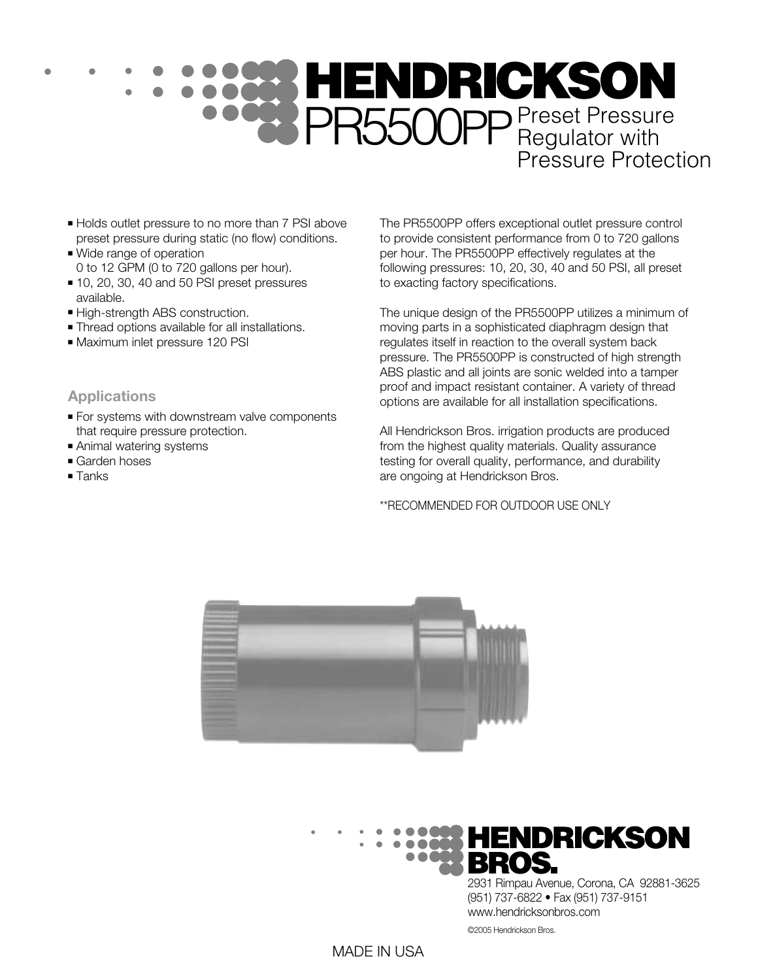# PR5500PP Preset Pressure Pressure Protection

- Holds outlet pressure to no more than 7 PSI above preset pressure during static (no flow) conditions.
- Wide range of operation 0 to 12 GPM (0 to 720 gallons per hour).
- 10, 20, 30, 40 and 50 PSI preset pressures available.
- High-strength ABS construction.
- Thread options available for all installations.
- Maximum inlet pressure 120 PSI

#### **Applications**

- For systems with downstream valve components that require pressure protection.
- Animal watering systems
- Garden hoses
- Tanks

The PR5500PP offers exceptional outlet pressure control to provide consistent performance from 0 to 720 gallons per hour. The PR5500PP effectively regulates at the following pressures: 10, 20, 30, 40 and 50 PSI, all preset to exacting factory specifications.

The unique design of the PR5500PP utilizes a minimum of moving parts in a sophisticated diaphragm design that regulates itself in reaction to the overall system back pressure. The PR5500PP is constructed of high strength ABS plastic and all joints are sonic welded into a tamper proof and impact resistant container. A variety of thread options are available for all installation specifications.

All Hendrickson Bros. irrigation products are produced from the highest quality materials. Quality assurance testing for overall quality, performance, and durability are ongoing at Hendrickson Bros.

\*\*RECOMMENDED FOR OUTDOOR USE ONLY





2931 Rimpau Avenue, Corona, CA 92881-3625 (951) 737-6822 • Fax (951) 737-9151 www.hendricksonbros.com

©2005 Hendrickson Bros.

#### MADE IN USA